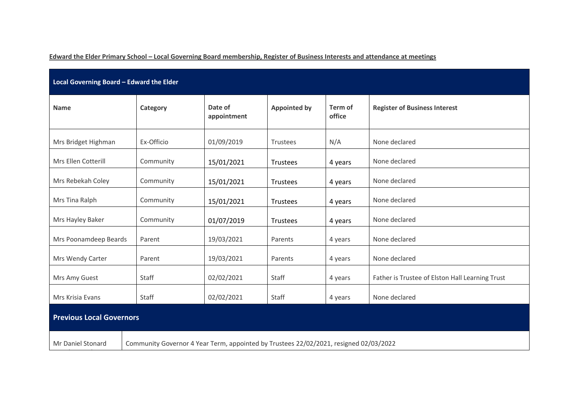**Edward the Elder Primary School – Local Governing Board membership, Register of Business Interests and attendance at meetings**

| Local Governing Board - Edward the Elder |                                                                                       |            |                     |                   |                                                 |  |  |  |  |  |
|------------------------------------------|---------------------------------------------------------------------------------------|------------|---------------------|-------------------|-------------------------------------------------|--|--|--|--|--|
| <b>Name</b>                              | Category                                                                              |            | <b>Appointed by</b> | Term of<br>office | <b>Register of Business Interest</b>            |  |  |  |  |  |
| Mrs Bridget Highman                      | Ex-Officio                                                                            | 01/09/2019 | Trustees            | N/A               | None declared                                   |  |  |  |  |  |
| Mrs Ellen Cotterill                      | Community                                                                             | 15/01/2021 | Trustees            | 4 years           | None declared                                   |  |  |  |  |  |
| Mrs Rebekah Coley                        | Community                                                                             | 15/01/2021 | Trustees            | 4 years           | None declared                                   |  |  |  |  |  |
| Mrs Tina Ralph                           | Community                                                                             | 15/01/2021 | Trustees<br>4 years |                   | None declared                                   |  |  |  |  |  |
| Mrs Hayley Baker                         | Community                                                                             | 01/07/2019 | Trustees            | 4 years           | None declared                                   |  |  |  |  |  |
| Mrs Poonamdeep Beards                    | Parent                                                                                | 19/03/2021 | Parents             | 4 years           | None declared                                   |  |  |  |  |  |
| Mrs Wendy Carter                         | Parent                                                                                | 19/03/2021 | Parents             | 4 years           | None declared                                   |  |  |  |  |  |
| Mrs Amy Guest                            | Staff                                                                                 | 02/02/2021 | Staff               | 4 years           | Father is Trustee of Elston Hall Learning Trust |  |  |  |  |  |
| Mrs Krisia Evans                         | Staff                                                                                 | 02/02/2021 | Staff               | 4 years           | None declared                                   |  |  |  |  |  |
| <b>Previous Local Governors</b>          |                                                                                       |            |                     |                   |                                                 |  |  |  |  |  |
| Mr Daniel Stonard                        | Community Governor 4 Year Term, appointed by Trustees 22/02/2021, resigned 02/03/2022 |            |                     |                   |                                                 |  |  |  |  |  |